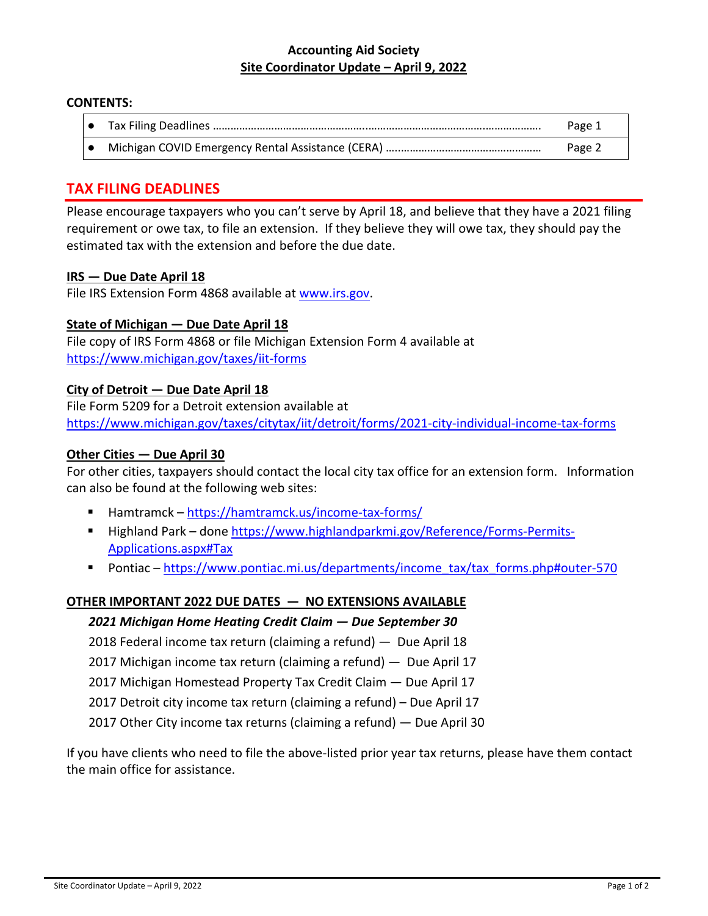#### **Accounting Aid Society Site Coordinator Update – April 9, 2022**

#### **CONTENTS:**

● Tax Filing Deadlines ……………………………………………..………………………………….………………. Page 1 ● Michigan COVID Emergency Rental Assistance (CERA) ………………………………………………………… Page 2

## **TAX FILING DEADLINES**

Please encourage taxpayers who you can't serve by April 18, and believe that they have a 2021 filing requirement or owe tax, to file an extension. If they believe they will owe tax, they should pay the estimated tax with the extension and before the due date.

#### **IRS — Due Date April 18**

File IRS Extension Form 4868 available at www.irs.gov.

### **State of Michigan — Due Date April 18**

File copy of IRS Form 4868 or file Michigan Extension Form 4 available at https://www.michigan.gov/taxes/iit‐forms

#### **City of Detroit — Due Date April 18**

File Form 5209 for a Detroit extension available at https://www.michigan.gov/taxes/citytax/iit/detroit/forms/2021‐city‐individual‐income‐tax‐forms

#### **Other Cities — Due April 30**

For other cities, taxpayers should contact the local city tax office for an extension form. Information can also be found at the following web sites:

- Hamtramck https://hamtramck.us/income-tax-forms/
- Highland Park done https://www.highlandparkmi.gov/Reference/Forms-Permits-Applications.aspx#Tax
- Pontiac https://www.pontiac.mi.us/departments/income\_tax/tax\_forms.php#outer-570

### **OTHER IMPORTANT 2022 DUE DATES — NO EXTENSIONS AVAILABLE**

#### *2021 Michigan Home Heating Credit Claim — Due September 30*

2018 Federal income tax return (claiming a refund) — Due April 18

2017 Michigan income tax return (claiming a refund) — Due April 17

2017 Michigan Homestead Property Tax Credit Claim — Due April 17

2017 Detroit city income tax return (claiming a refund) – Due April 17

2017 Other City income tax returns (claiming a refund) — Due April 30

If you have clients who need to file the above‐listed prior year tax returns, please have them contact the main office for assistance.